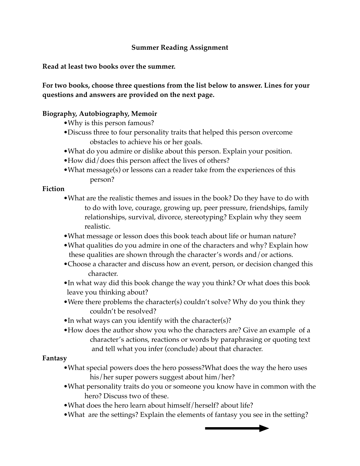# **Summer Reading Assignment**

**Read at least two books over the summer.** 

**For two books, choose three questions from the list below to answer. Lines for your questions and answers are provided on the next page.**

## **Biography, Autobiography, Memoir**

- •Why is this person famous?
- •Discuss three to four personality traits that helped this person overcome obstacles to achieve his or her goals.
- •What do you admire or dislike about this person. Explain your position.
- •How did/does this person affect the lives of others?
- •What message(s) or lessons can a reader take from the experiences of this person?

### **Fiction**

- •What are the realistic themes and issues in the book? Do they have to do with to do with love, courage, growing up, peer pressure, friendships, family relationships, survival, divorce, stereotyping? Explain why they seem realistic.
- •What message or lesson does this book teach about life or human nature?
- •What qualities do you admire in one of the characters and why? Explain how these qualities are shown through the character's words and/or actions.
- •Choose a character and discuss how an event, person, or decision changed this character.
- •In what way did this book change the way you think? Or what does this book leave you thinking about?
- •Were there problems the character(s) couldn't solve? Why do you think they couldn't be resolved?
- •In what ways can you identify with the character(s)?
- •How does the author show you who the characters are? Give an example of a ! ! character's actions, reactions or words by paraphrasing or quoting text and tell what you infer (conclude) about that character.

#### **Fantasy**

- •What special powers does the hero possess?What does the way the hero uses his/her super powers suggest about him/her?
- •What personality traits do you or someone you know have in common with the hero? Discuss two of these.
- •What does the hero learn about himself/herself? about life?
- •What are the settings? Explain the elements of fantasy you see in the setting?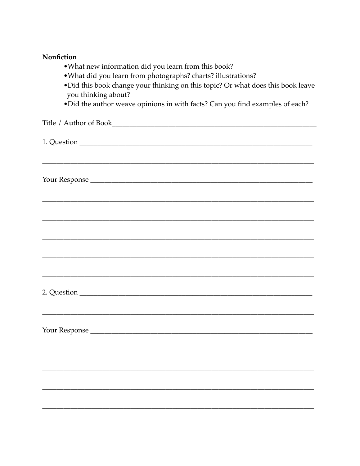### Nonfiction

- . What new information did you learn from this book?
- . What did you learn from photographs? charts? illustrations?
- . Did this book change your thinking on this topic? Or what does this book leave you thinking about?
- Did the author weave opinions in with facts? Can you find examples of each?

| Title / Author of Book |
|------------------------|
|                        |
|                        |
|                        |
| Your Response          |
|                        |
|                        |
|                        |
|                        |
|                        |
|                        |
|                        |
|                        |
| Your Response          |
|                        |
|                        |
|                        |
|                        |
|                        |
|                        |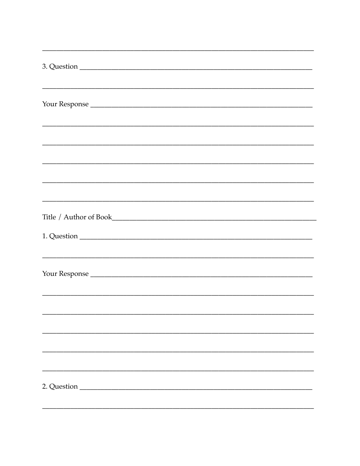| <u> 1989 - Johann Barn, mars an t-Amerikaansk politiker (* 1989)</u> |
|----------------------------------------------------------------------|
|                                                                      |
|                                                                      |
|                                                                      |
|                                                                      |
|                                                                      |
|                                                                      |
|                                                                      |
|                                                                      |
|                                                                      |
|                                                                      |
|                                                                      |